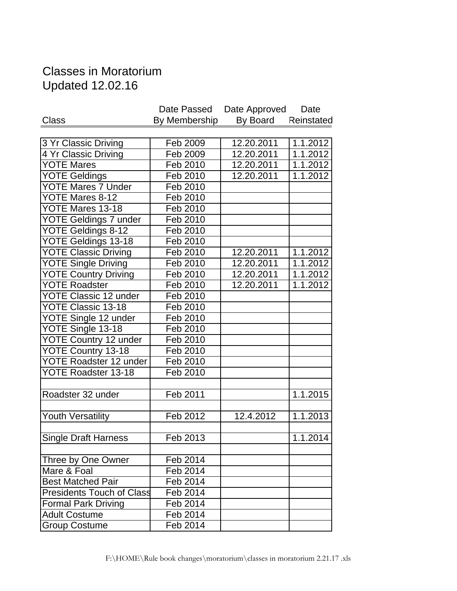## Classes in Moratorium Updated 12.02.16

| By Membership<br>By Board<br><b>Class</b><br>12.20.2011<br>3 Yr Classic Driving<br>Feb 2009<br>$\overline{4}$ Yr Classic Driving<br>Feb 2009<br>12.20.2011<br><b>YOTE Mares</b><br>Feb 2010<br>12.20.2011<br><b>YOTE Geldings</b><br>Feb 2010<br>12.20.2011<br><b>YOTE Mares 7 Under</b><br>Feb 2010<br>YOTE Mares 8-12<br>Feb 2010<br>YOTE Mares 13-18<br>Feb 2010<br><b>YOTE Geldings 7 under</b><br>Feb 2010<br>YOTE Geldings 8-12<br>Feb 2010<br>YOTE Geldings 13-18<br>Feb 2010<br><b>YOTE Classic Driving</b><br>Feb 2010<br>12.20.2011<br><b>YOTE Single Driving</b><br>Feb 2010<br>12.20.2011<br><b>YOTE Country Driving</b><br>Feb 2010<br>12.20.2011<br><b>YOTE Roadster</b><br>Feb 2010<br>12.20.2011<br><b>YOTE Classic 12 under</b> | Date Passed | Date Approved | Date       |
|--------------------------------------------------------------------------------------------------------------------------------------------------------------------------------------------------------------------------------------------------------------------------------------------------------------------------------------------------------------------------------------------------------------------------------------------------------------------------------------------------------------------------------------------------------------------------------------------------------------------------------------------------------------------------------------------------------------------------------------------------|-------------|---------------|------------|
|                                                                                                                                                                                                                                                                                                                                                                                                                                                                                                                                                                                                                                                                                                                                                  |             |               | Reinstated |
|                                                                                                                                                                                                                                                                                                                                                                                                                                                                                                                                                                                                                                                                                                                                                  |             |               |            |
|                                                                                                                                                                                                                                                                                                                                                                                                                                                                                                                                                                                                                                                                                                                                                  |             |               | 1.1.2012   |
|                                                                                                                                                                                                                                                                                                                                                                                                                                                                                                                                                                                                                                                                                                                                                  |             |               | 1.1.2012   |
|                                                                                                                                                                                                                                                                                                                                                                                                                                                                                                                                                                                                                                                                                                                                                  |             |               | 1.1.2012   |
|                                                                                                                                                                                                                                                                                                                                                                                                                                                                                                                                                                                                                                                                                                                                                  |             |               | 1.1.2012   |
|                                                                                                                                                                                                                                                                                                                                                                                                                                                                                                                                                                                                                                                                                                                                                  |             |               |            |
|                                                                                                                                                                                                                                                                                                                                                                                                                                                                                                                                                                                                                                                                                                                                                  |             |               |            |
|                                                                                                                                                                                                                                                                                                                                                                                                                                                                                                                                                                                                                                                                                                                                                  |             |               |            |
|                                                                                                                                                                                                                                                                                                                                                                                                                                                                                                                                                                                                                                                                                                                                                  |             |               |            |
|                                                                                                                                                                                                                                                                                                                                                                                                                                                                                                                                                                                                                                                                                                                                                  |             |               |            |
|                                                                                                                                                                                                                                                                                                                                                                                                                                                                                                                                                                                                                                                                                                                                                  |             |               |            |
|                                                                                                                                                                                                                                                                                                                                                                                                                                                                                                                                                                                                                                                                                                                                                  |             |               | 1.1.2012   |
|                                                                                                                                                                                                                                                                                                                                                                                                                                                                                                                                                                                                                                                                                                                                                  |             |               | 1.1.2012   |
|                                                                                                                                                                                                                                                                                                                                                                                                                                                                                                                                                                                                                                                                                                                                                  |             |               | 1.1.2012   |
|                                                                                                                                                                                                                                                                                                                                                                                                                                                                                                                                                                                                                                                                                                                                                  |             |               | 1.1.2012   |
|                                                                                                                                                                                                                                                                                                                                                                                                                                                                                                                                                                                                                                                                                                                                                  | Feb 2010    |               |            |
| <b>YOTE Classic 13-18</b><br>Feb 2010                                                                                                                                                                                                                                                                                                                                                                                                                                                                                                                                                                                                                                                                                                            |             |               |            |
| YOTE Single 12 under<br>Feb 2010                                                                                                                                                                                                                                                                                                                                                                                                                                                                                                                                                                                                                                                                                                                 |             |               |            |
| YOTE Single 13-18<br>Feb 2010                                                                                                                                                                                                                                                                                                                                                                                                                                                                                                                                                                                                                                                                                                                    |             |               |            |
| <b>YOTE Country 12 under</b><br>Feb 2010                                                                                                                                                                                                                                                                                                                                                                                                                                                                                                                                                                                                                                                                                                         |             |               |            |
| YOTE Country 13-18<br>Feb 2010                                                                                                                                                                                                                                                                                                                                                                                                                                                                                                                                                                                                                                                                                                                   |             |               |            |
| <b>YOTE Roadster 12 under</b><br>Feb 2010                                                                                                                                                                                                                                                                                                                                                                                                                                                                                                                                                                                                                                                                                                        |             |               |            |
| YOTE Roadster 13-18<br>Feb 2010                                                                                                                                                                                                                                                                                                                                                                                                                                                                                                                                                                                                                                                                                                                  |             |               |            |
|                                                                                                                                                                                                                                                                                                                                                                                                                                                                                                                                                                                                                                                                                                                                                  |             |               |            |
| Feb 2011<br>Roadster 32 under                                                                                                                                                                                                                                                                                                                                                                                                                                                                                                                                                                                                                                                                                                                    |             |               | 1.1.2015   |
|                                                                                                                                                                                                                                                                                                                                                                                                                                                                                                                                                                                                                                                                                                                                                  |             |               |            |
| Feb 2012<br>Youth Versatility<br>12.4.2012                                                                                                                                                                                                                                                                                                                                                                                                                                                                                                                                                                                                                                                                                                       |             |               | 1.1.2013   |
| <b>Single Draft Harness</b><br>Feb 2013                                                                                                                                                                                                                                                                                                                                                                                                                                                                                                                                                                                                                                                                                                          |             |               | 1.1.2014   |
| Three by One Owner<br>Feb 2014                                                                                                                                                                                                                                                                                                                                                                                                                                                                                                                                                                                                                                                                                                                   |             |               |            |
| Mare & Foal<br>$\overline{F}$ eb 2014                                                                                                                                                                                                                                                                                                                                                                                                                                                                                                                                                                                                                                                                                                            |             |               |            |
| <b>Best Matched Pair</b><br>Feb 2014                                                                                                                                                                                                                                                                                                                                                                                                                                                                                                                                                                                                                                                                                                             |             |               |            |
| <b>Presidents Touch of Class</b><br>Feb 2014                                                                                                                                                                                                                                                                                                                                                                                                                                                                                                                                                                                                                                                                                                     |             |               |            |
| <b>Formal Park Driving</b><br>Feb 2014                                                                                                                                                                                                                                                                                                                                                                                                                                                                                                                                                                                                                                                                                                           |             |               |            |
| <b>Adult Costume</b><br>Feb 2014                                                                                                                                                                                                                                                                                                                                                                                                                                                                                                                                                                                                                                                                                                                 |             |               |            |
| Feb 2014<br><b>Group Costume</b>                                                                                                                                                                                                                                                                                                                                                                                                                                                                                                                                                                                                                                                                                                                 |             |               |            |